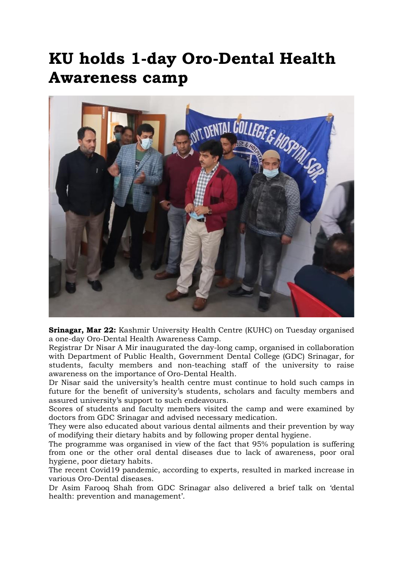## KU holds 1-day Oro-Dental Health Awareness camp



Srinagar, Mar 22: Kashmir University Health Centre (KUHC) on Tuesday organised a one-day Oro-Dental Health Awareness Camp.

Registrar Dr Nisar A Mir inaugurated the day-long camp, organised in collaboration with Department of Public Health, Government Dental College (GDC) Srinagar, for students, faculty members and non-teaching staff of the university to raise awareness on the importance of Oro-Dental Health.

Dr Nisar said the university's health centre must continue to hold such camps in future for the benefit of university's students, scholars and faculty members and assured university's support to such endeavours.

Scores of students and faculty members visited the camp and were examined by doctors from GDC Srinagar and advised necessary medication.

They were also educated about various dental ailments and their prevention by way of modifying their dietary habits and by following proper dental hygiene.

The programme was organised in view of the fact that 95% population is suffering from one or the other oral dental diseases due to lack of awareness, poor oral hygiene, poor dietary habits.

The recent Covid19 pandemic, according to experts, resulted in marked increase in various Oro-Dental diseases.

Dr Asim Farooq Shah from GDC Srinagar also delivered a brief talk on 'dental health: prevention and management'.